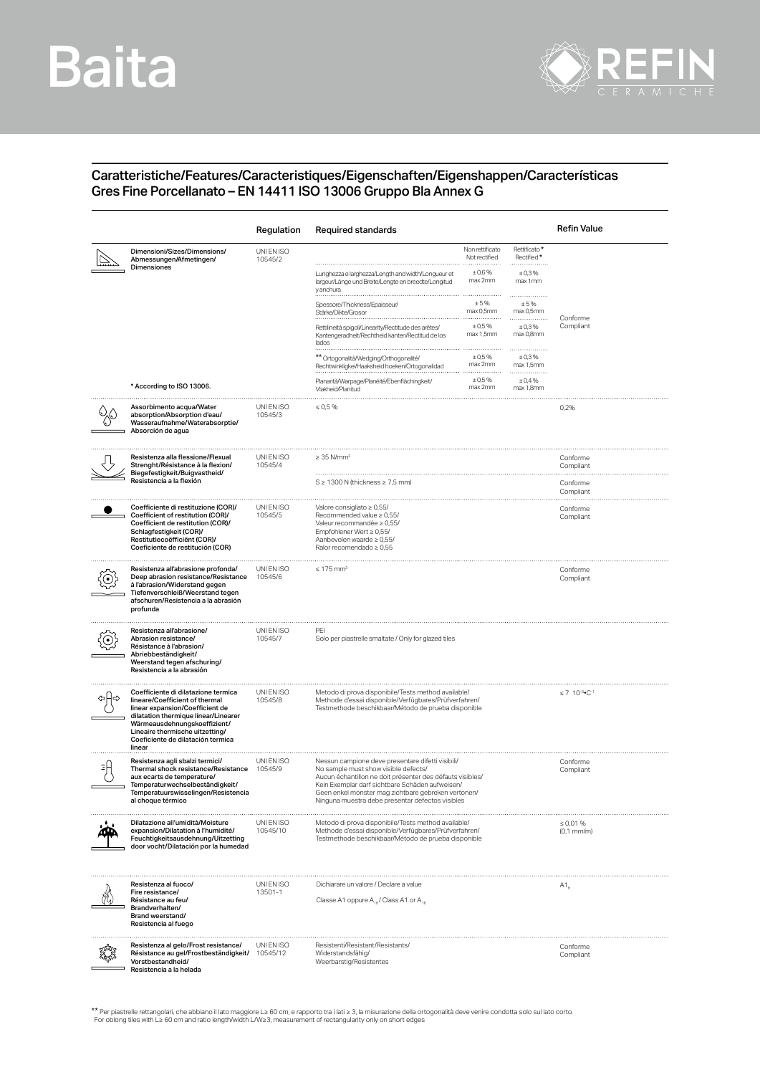## Baita



## Caratteristiche/Features/Caracteristiques/Eigenschaften/Eigenshappen/Características Gres Fine Porcellanato – EN 14411 ISO 13006 Gruppo Bla Annex G

|                                                                                                                                                                                                                                                                    | Regulation             | <b>Required standards</b>                                                                                                                                                                                                                                                                                            |                                            |                                     | Refin Value           |
|--------------------------------------------------------------------------------------------------------------------------------------------------------------------------------------------------------------------------------------------------------------------|------------------------|----------------------------------------------------------------------------------------------------------------------------------------------------------------------------------------------------------------------------------------------------------------------------------------------------------------------|--------------------------------------------|-------------------------------------|-----------------------|
| Dimensioni/Sizes/Dimensions/<br>Abmessungen/Afmetingen/<br>Dimensiones                                                                                                                                                                                             | UNI EN ISO<br>10545/2  | Lunghezza e larghezza/Length and width/Longueur et                                                                                                                                                                                                                                                                   | Non rettificato<br>Not rectified<br>± 0,6% | Rettificato*<br>Rectified*<br>±0,3% |                       |
|                                                                                                                                                                                                                                                                    |                        | largeur/Länge und Breite/Lengte en breedte/Longitud<br>y anchura                                                                                                                                                                                                                                                     | max 2mm                                    | max 1mm                             |                       |
|                                                                                                                                                                                                                                                                    |                        | Spessore/Thickness/Epaisseur<br>Stärke/Dikte/Grosor                                                                                                                                                                                                                                                                  | ±5%<br>max 0,5mm                           | ± 5%<br>max 0,5mm                   | Conforme              |
|                                                                                                                                                                                                                                                                    |                        | Rettilineità spigoli/Linearity/Rectitude des arêtes/<br>Kantengeradheit/Rechtheid kanten/Rectitud de los<br>lados                                                                                                                                                                                                    | ± 0.5%<br>max 1,5mm                        | ±0,3%<br>max 0,8mm<br>.             | Compliant             |
|                                                                                                                                                                                                                                                                    |                        | ** Ortogonalità/Wedging/Orthogonalité/<br>Rechtwinkligkei/Haaksheid hoeken/Ortogonalidad                                                                                                                                                                                                                             | ± 0.5%<br>max 2mm                          | ± 0.3%<br>max 1,5mm                 |                       |
| * According to ISO 13006.                                                                                                                                                                                                                                          |                        | Planarità/Warpage/Planéité/Ebenflächingkeit/<br>Vlakheid/Planitud                                                                                                                                                                                                                                                    | ± 0.5%<br>max 2mm                          | ± 0,4%<br>max 1,8mm                 |                       |
| Assorbimento acqua/Water<br>absorption/Absorption d'eau/<br>Wasseraufnahme/Waterabsorptie/<br>Absorción de agua                                                                                                                                                    | UNI EN ISO<br>10545/3  | $\leq 0.5 \%$                                                                                                                                                                                                                                                                                                        |                                            |                                     | 0,2%                  |
| Resistenza alla flessione/Flexual<br>Strenght/Résistance à la flexion/<br>Biegefestigkeit/Buigvastheid/<br>Resistencia a la flexión                                                                                                                                | UNI EN ISO<br>10545/4  | $\geq$ 35 N/mm <sup>2</sup>                                                                                                                                                                                                                                                                                          |                                            |                                     | Conforme<br>Compliant |
|                                                                                                                                                                                                                                                                    |                        | $S \geq 1300$ N (thickness $\geq 7.5$ mm)                                                                                                                                                                                                                                                                            |                                            |                                     | Conforme<br>Compliant |
| Coefficiente di restituzione (COR)/<br>Coefficient of restitution (COR)/<br>Coefficient de restitution (COR)/<br>Schlagfestigkeit (COR)/<br>Restitutiecoëfficiënt (COR)/<br>Coeficiente de restitución (COR)                                                       | UNI EN ISO<br>10545/5  | Valore consigliato ≥ 0,55/<br>Recommended value $\geq 0.55/$<br>Valeur recommandée ≥ 0,55/<br>Empfohlener Wert $\geq 0.55/$<br>Aanbevolen waarde $\geq 0.55$ /<br>Ralor recomendado $\geq 0.55$                                                                                                                      |                                            |                                     | Conforme<br>Compliant |
| Resistenza all'abrasione profonda/<br>Deep abrasion resistance/Resistance<br>à l'abrasion/Widerstand gegen<br>Tiefenverschleiß/Weerstand tegen<br>afschuren/Resistencia a la abrasión<br>profunda                                                                  | UNI EN ISO<br>10545/6  | $\leq 175$ mm <sup>3</sup>                                                                                                                                                                                                                                                                                           |                                            |                                     | Conforme<br>Compliant |
| Resistenza all'abrasione/<br>Abrasion resistance/<br>Résistance à l'abrasion/<br>Abriebbeständigkeit/<br>Weerstand tegen afschuring/<br>Resistencia a la abrasión                                                                                                  | UNI EN ISO<br>10545/7  | PEI<br>Solo per piastrelle smaltate / Only for glazed tiles                                                                                                                                                                                                                                                          |                                            |                                     |                       |
| Coefficiente di dilatazione termica<br>lineare/Coefficient of thermal<br>linear expansion/Coefficient de<br>dilatation thermique linear/Linearer<br>Wärmeausdehnungskoeffizient/<br>Lineaire thermische uitzetting/<br>Coeficiente de dilatación termica<br>linear | UNI EN ISO<br>10545/8  | Metodo di prova disponibile/Tests method available/<br>Methode d'essai disponible/Verfügbares/Prüfverfahren/<br>Testmethode beschikbaar/Método de prueba disponible                                                                                                                                                  |                                            |                                     | $\leq 7$ 10-6. C-1    |
| Resistenza agli sbalzi termici/<br>Thermal shock resistance/Resistance<br>aux ecarts de temperature/<br>Temperaturwechselbeständigkeit/<br>lemperatuurswisselingen/Resistencia<br>al choque térmico                                                                | UNI EN ISO<br>10545/9  | Nessun campione deve presentare difetti visibili/<br>No sample must show visible defects/<br>Aucun échantillon ne doit présenter des défauts visibles/<br>Kein Exemplar darf sichtbare Schäden aufweisen/<br>Geen enkel monster mag zichtbare gebreken vertonen/<br>Ninguna muestra debe presentar defectos visibles |                                            | Conforme<br>Compliant               |                       |
| Dilatazione all'umidità/Moisture<br>expansion/Dilatation à l'humidité/<br>Feuchtigkeitsausdehnung/Uitzetting<br>door vocht/Dilatación por la humedad                                                                                                               | UNI EN ISO<br>10545/10 | Metodo di prova disponibile/Tests method available/<br>Methode d'essai disponible/Verfügbares/Prüfverfahren/<br>Testmethode beschikbaar/Método de prueba disponible                                                                                                                                                  |                                            | $\leq 0.01 \%$<br>$(0,1$ mm/m $)$   |                       |
| Resistenza al fuoco/<br>Fire resistance/<br>Résistance au feu/<br>Brandverhalten/<br>Brand weerstand/<br>Resistencia al fuego                                                                                                                                      | UNI EN ISO<br>13501-1  | Dichiarare un valore / Declare a value<br>Classe A1 oppure A <sub>10</sub> / Class A1 or A <sub>10</sub>                                                                                                                                                                                                             |                                            | $A1_{a}$                            |                       |
| Resistenza al gelo/Frost resistance/<br>Résistance au gel/Frostbeständigkeit/<br>Vorstbestandheid/<br>Resistencia a la helada                                                                                                                                      | UNI EN ISO<br>10545/12 | Resistenti/Resistant/Resistants/<br>Widerstandsfähig/<br>Weerbarstig/Resistentes                                                                                                                                                                                                                                     |                                            | Conforme<br>Compliant               |                       |

\*\* Per piastrelle rettangolari, che abbiano il lato maggiore L≥ 60 cm, e rapporto tra i lati ≥ 3, la misurazione della ortogonalità deve venire condotta solo sul lato corto<br>For oblong tiles with L≥ 60 cm and ratio length/